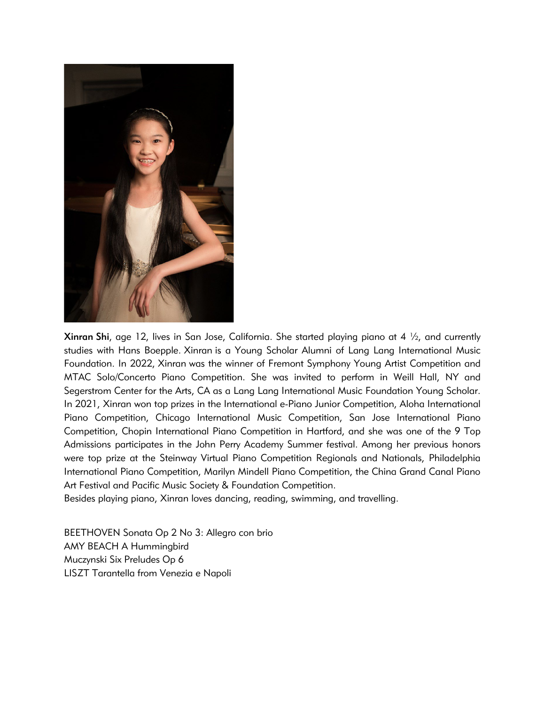

**Xinran Shi**, age 12, lives in San Jose, California. She started playing piano at 4  $\frac{1}{2}$ , and currently studies with Hans Boepple. Xinran is a Young Scholar Alumni of Lang Lang International Music Foundation. In 2022, Xinran was the winner of Fremont Symphony Young Artist Competition and MTAC Solo/Concerto Piano Competition. She was invited to perform in Weill Hall, NY and Segerstrom Center for the Arts, CA as a Lang Lang International Music Foundation Young Scholar. In 2021, Xinran won top prizes in the International e-Piano Junior Competition, Aloha International Piano Competition, Chicago International Music Competition, San Jose International Piano Competition, Chopin International Piano Competition in Hartford, and she was one of the 9 Top Admissions participates in the John Perry Academy Summer festival. Among her previous honors were top prize at the Steinway Virtual Piano Competition Regionals and Nationals, Philadelphia International Piano Competition, Marilyn Mindell Piano Competition, the China Grand Canal Piano Art Festival and Pacific Music Society & Foundation Competition.

Besides playing piano, Xinran loves dancing, reading, swimming, and travelling.

BEETHOVEN Sonata Op 2 No 3: Allegro con brio AMY BEACH A Hummingbird Muczynski Six Preludes Op 6 LISZT Tarantella from Venezia e Napoli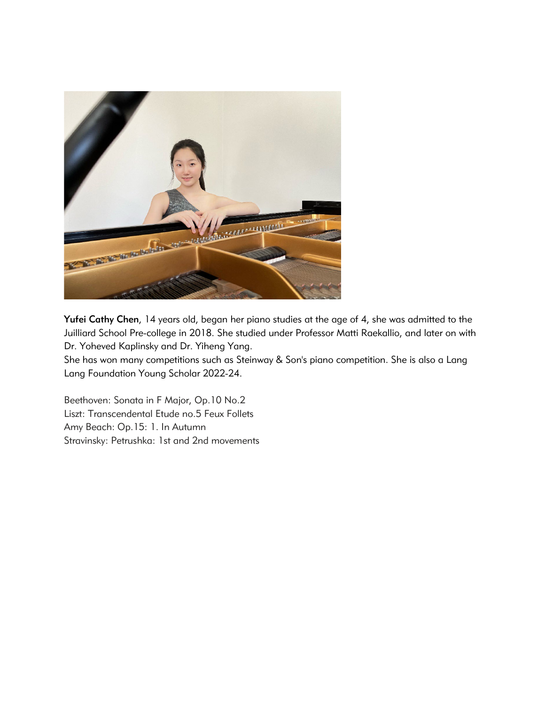

Yufei Cathy Chen, 14 years old, began her piano studies at the age of 4, she was admitted to the Juilliard School Pre-college in 2018. She studied under Professor Matti Raekallio, and later on with Dr. Yoheved Kaplinsky and Dr. Yiheng Yang.

She has won many competitions such as Steinway & Son's piano competition. She is also a Lang Lang Foundation Young Scholar 2022-24.

Beethoven: Sonata in F Major, Op.10 No.2 Liszt: Transcendental Etude no.5 Feux Follets Amy Beach: Op.15: 1. In Autumn Stravinsky: Petrushka: 1st and 2nd movements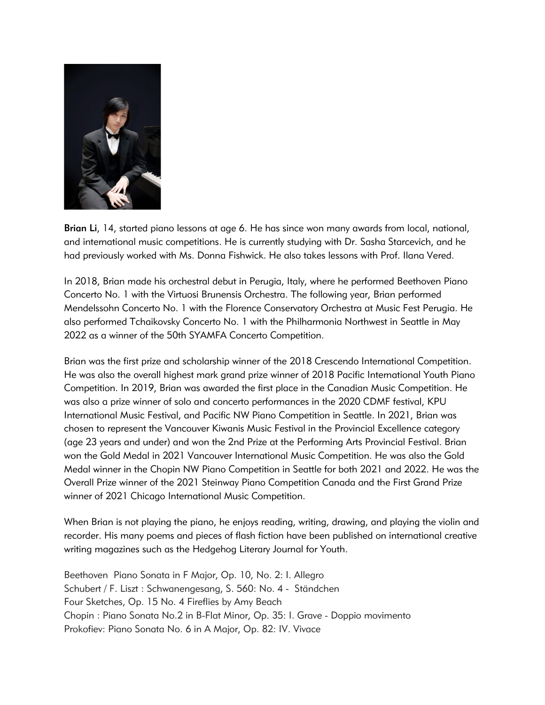

Brian Li, 14, started piano lessons at age 6. He has since won many awards from local, national, and international music competitions. He is currently studying with Dr. Sasha Starcevich, and he had previously worked with Ms. Donna Fishwick. He also takes lessons with Prof. Ilana Vered.

In 2018, Brian made his orchestral debut in Perugia, Italy, where he performed Beethoven Piano Concerto No. 1 with the Virtuosi Brunensis Orchestra. The following year, Brian performed Mendelssohn Concerto No. 1 with the Florence Conservatory Orchestra at Music Fest Perugia. He also performed Tchaikovsky Concerto No. 1 with the Philharmonia Northwest in Seattle in May 2022 as a winner of the 50th SYAMFA Concerto Competition.

Brian was the first prize and scholarship winner of the 2018 Crescendo International Competition. He was also the overall highest mark grand prize winner of 2018 Pacific International Youth Piano Competition. In 2019, Brian was awarded the first place in the Canadian Music Competition. He was also a prize winner of solo and concerto performances in the 2020 CDMF festival, KPU International Music Festival, and Pacific NW Piano Competition in Seattle. In 2021, Brian was chosen to represent the Vancouver Kiwanis Music Festival in the Provincial Excellence category (age 23 years and under) and won the 2nd Prize at the Performing Arts Provincial Festival. Brian won the Gold Medal in 2021 Vancouver International Music Competition. He was also the Gold Medal winner in the Chopin NW Piano Competition in Seattle for both 2021 and 2022. He was the Overall Prize winner of the 2021 Steinway Piano Competition Canada and the First Grand Prize winner of 2021 Chicago International Music Competition.

When Brian is not playing the piano, he enjoys reading, writing, drawing, and playing the violin and recorder. His many poems and pieces of flash fiction have been published on international creative writing magazines such as the Hedgehog Literary Journal for Youth.

Beethoven Piano Sonata in F Major, Op. 10, No. 2: I. Allegro Schubert / F. Liszt : Schwanengesang, S. 560: No. 4 - Ständchen Four Sketches, Op. 15 No. 4 Fireflies by Amy Beach Chopin : Piano Sonata No.2 in B-Flat Minor, Op. 35: I. Grave - Doppio movimento Prokofiev: Piano Sonata No. 6 in A Major, Op. 82: IV. Vivace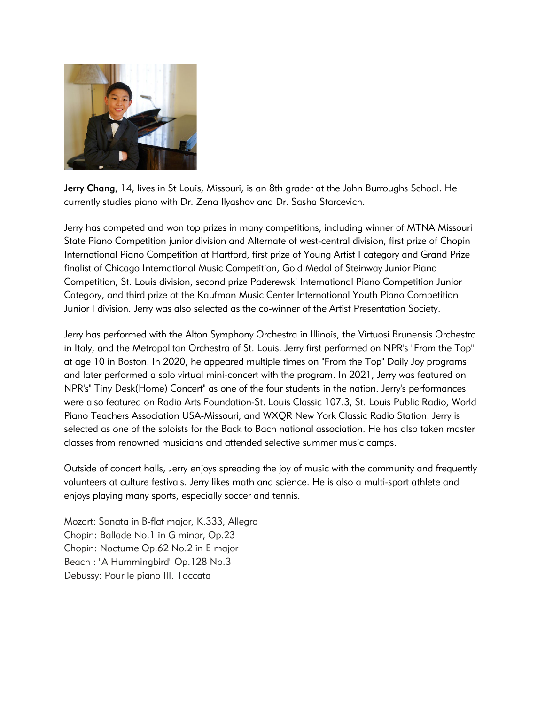

Jerry Chang, 14, lives in St Louis, Missouri, is an 8th grader at the John Burroughs School. He currently studies piano with Dr. Zena Ilyashov and Dr. Sasha Starcevich.

Jerry has competed and won top prizes in many competitions, including winner of MTNA Missouri State Piano Competition junior division and Alternate of west-central division, first prize of Chopin International Piano Competition at Hartford, first prize of Young Artist I category and Grand Prize finalist of Chicago International Music Competition, Gold Medal of Steinway Junior Piano Competition, St. Louis division, second prize Paderewski International Piano Competition Junior Category, and third prize at the Kaufman Music Center International Youth Piano Competition Junior I division. Jerry was also selected as the co-winner of the Artist Presentation Society.

Jerry has performed with the Alton Symphony Orchestra in Illinois, the Virtuosi Brunensis Orchestra in Italy, and the Metropolitan Orchestra of St. Louis. Jerry first performed on NPR's "From the Top" at age 10 in Boston. In 2020, he appeared multiple times on "From the Top" Daily Joy programs and later performed a solo virtual mini-concert with the program. In 2021, Jerry was featured on NPR's" Tiny Desk(Home) Concert" as one of the four students in the nation. Jerry's performances were also featured on Radio Arts Foundation-St. Louis Classic 107.3, St. Louis Public Radio, World Piano Teachers Association USA-Missouri, and WXQR New York Classic Radio Station. Jerry is selected as one of the soloists for the Back to Bach national association. He has also taken master classes from renowned musicians and attended selective summer music camps.

Outside of concert halls, Jerry enjoys spreading the joy of music with the community and frequently volunteers at culture festivals. Jerry likes math and science. He is also a multi-sport athlete and enjoys playing many sports, especially soccer and tennis.

Mozart: Sonata in B-flat major, K.333, Allegro Chopin: Ballade No.1 in G minor, Op.23 Chopin: Nocturne Op.62 No.2 in E major Beach : "A Hummingbird" Op.128 No.3 Debussy: Pour le piano III. Toccata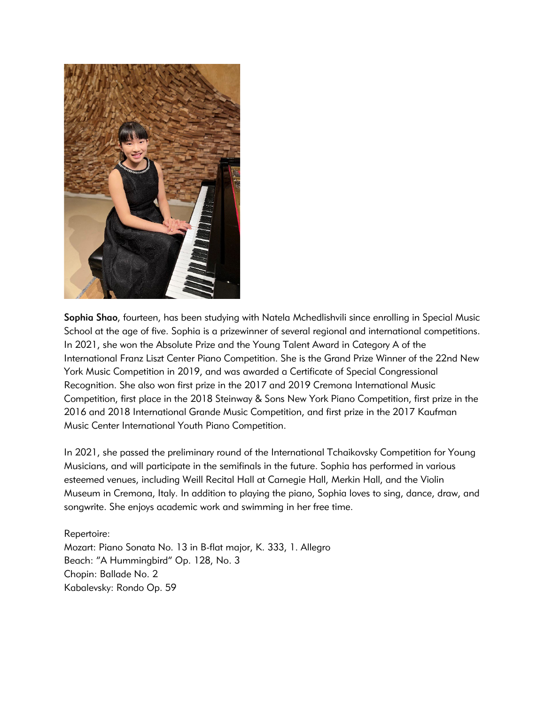

Sophia Shao, fourteen, has been studying with Natela Mchedlishvili since enrolling in Special Music School at the age of five. Sophia is a prizewinner of several regional and international competitions. In 2021, she won the Absolute Prize and the Young Talent Award in Category A of the International Franz Liszt Center Piano Competition. She is the Grand Prize Winner of the 22nd New York Music Competition in 2019, and was awarded a Certificate of Special Congressional Recognition. She also won first prize in the 2017 and 2019 Cremona International Music Competition, first place in the 2018 Steinway & Sons New York Piano Competition, first prize in the 2016 and 2018 International Grande Music Competition, and first prize in the 2017 Kaufman Music Center International Youth Piano Competition.

In 2021, she passed the preliminary round of the International Tchaikovsky Competition for Young Musicians, and will participate in the semifinals in the future. Sophia has performed in various esteemed venues, including Weill Recital Hall at Carnegie Hall, Merkin Hall, and the Violin Museum in Cremona, Italy. In addition to playing the piano, Sophia loves to sing, dance, draw, and songwrite. She enjoys academic work and swimming in her free time.

Repertoire: Mozart: Piano Sonata No. 13 in B-flat major, K. 333, 1. Allegro Beach: "A Hummingbird" Op. 128, No. 3 Chopin: Ballade No. 2 Kabalevsky: Rondo Op. 59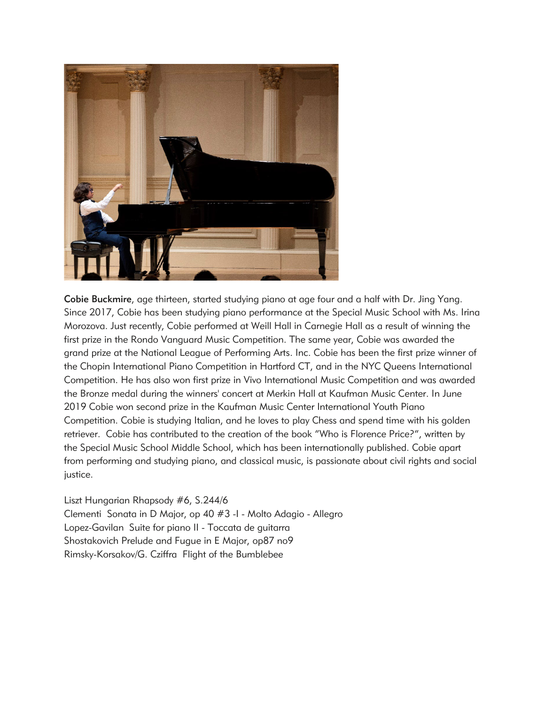

Cobie Buckmire, age thirteen, started studying piano at age four and a half with Dr. Jing Yang. Since 2017, Cobie has been studying piano performance at the Special Music School with Ms. Irina Morozova. Just recently, Cobie performed at Weill Hall in Carnegie Hall as a result of winning the first prize in the Rondo Vanguard Music Competition. The same year, Cobie was awarded the grand prize at the National League of Performing Arts. Inc. Cobie has been the first prize winner of the Chopin International Piano Competition in Hartford CT, and in the NYC Queens International Competition. He has also won first prize in Vivo International Music Competition and was awarded the Bronze medal during the winners' concert at Merkin Hall at Kaufman Music Center. In June 2019 Cobie won second prize in the Kaufman Music Center International Youth Piano Competition. Cobie is studying Italian, and he loves to play Chess and spend time with his golden retriever. Cobie has contributed to the creation of the book "Who is Florence Price?", written by the Special Music School Middle School, which has been internationally published. Cobie apart from performing and studying piano, and classical music, is passionate about civil rights and social justice.

Liszt Hungarian Rhapsody #6, S.244/6 Clementi Sonata in D Major, op 40 #3 -I - Molto Adagio - Allegro Lopez-Gavilan Suite for piano II - Toccata de guitarra Shostakovich Prelude and Fugue in E Major, op87 no9 Rimsky-Korsakov/G. Cziffra Flight of the Bumblebee